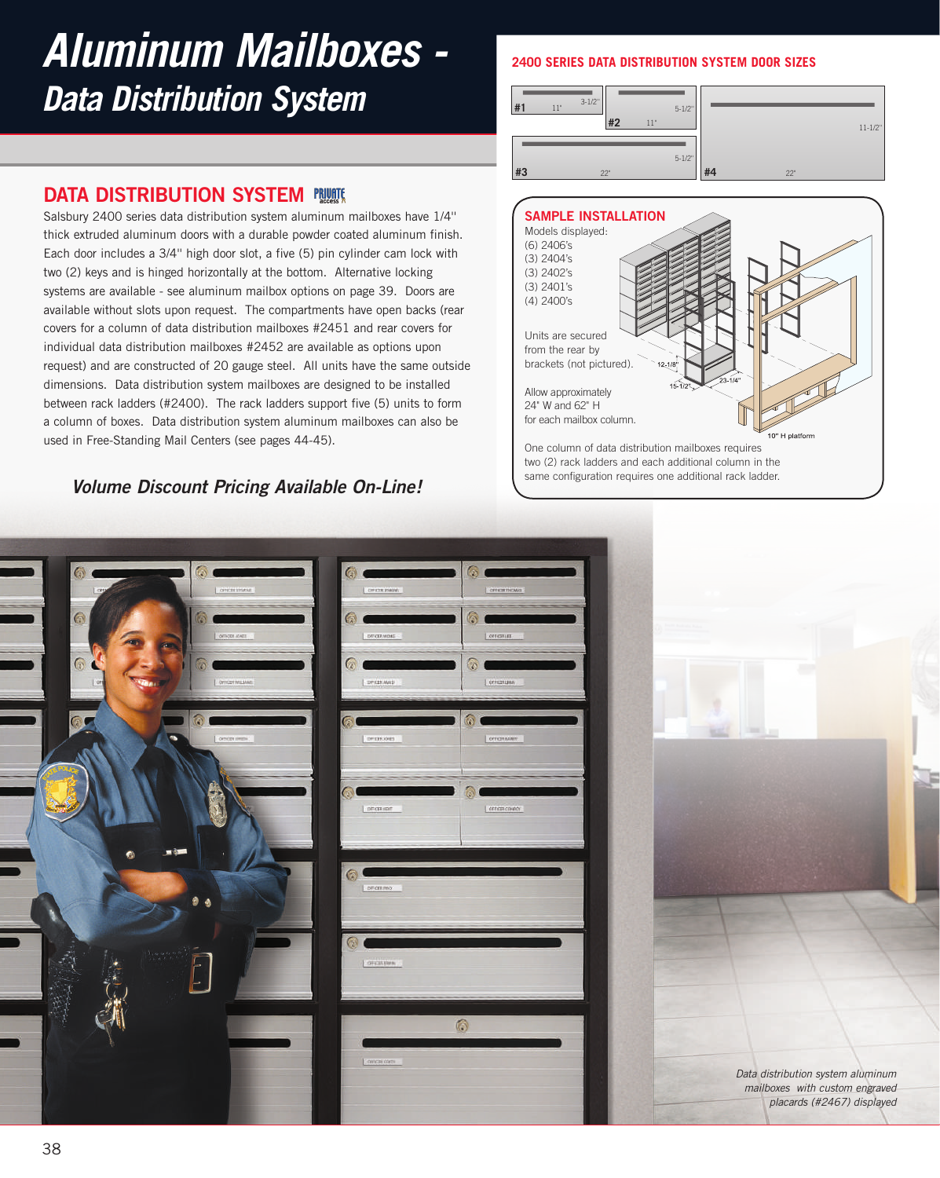# *Aluminum Mailboxes - Data Distribution System*

# **DATA DISTRIBUTION SYSTEM FRUNTE**

Salsbury 2400 series data distribution system aluminum mailboxes have 1/4'' thick extruded aluminum doors with a durable powder coated aluminum finish. Each door includes a 3/4'' high door slot, a five (5) pin cylinder cam lock with two (2) keys and is hinged horizontally at the bottom. Alternative locking systems are available - see aluminum mailbox options on page 39. Doors are available without slots upon request. The compartments have open backs (rear covers for a column of data distribution mailboxes #2451 and rear covers for individual data distribution mailboxes #2452 are available as options upon request) and are constructed of 20 gauge steel. All units have the same outside dimensions. Data distribution system mailboxes are designed to be installed between rack ladders (#2400). The rack ladders support five (5) units to form a column of boxes. Data distribution system aluminum mailboxes can also be used in Free-Standing Mail Centers (see pages 44-45).

## **Volume Discount Pricing Available On-Line!**

### **2400 SERIES DATA DISTRIBUTION SYSTEM DOOR SIZES**